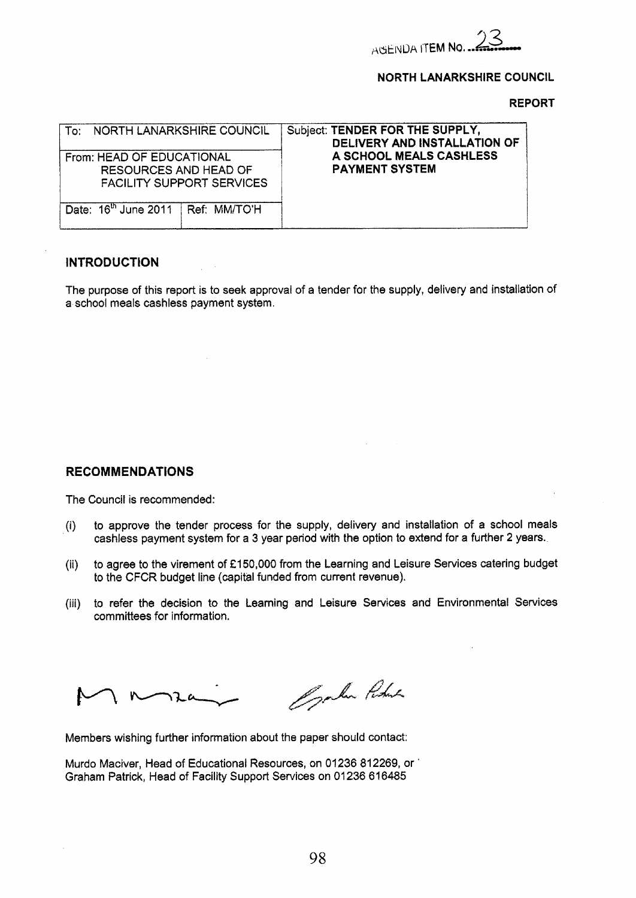

# **NORTH LANARKSHIRE COUNCIL**

**REPORT** 

| To: NORTH LANARKSHIRE COUNCIL<br>From: HEAD OF EDUCATIONAL<br><b>RESOURCES AND HEAD OF</b><br><b>FACILITY SUPPORT SERVICES</b> | Subject: TENDER FOR THE SUPPLY,<br>DELIVERY AND INSTALLATION OF<br>A SCHOOL MEALS CASHLESS<br><b>PAYMENT SYSTEM</b> |
|--------------------------------------------------------------------------------------------------------------------------------|---------------------------------------------------------------------------------------------------------------------|
| Date: $16th$ June 2011 Ref: MM/TO'H                                                                                            |                                                                                                                     |

# **INTRODUCTION**

The purpose of this report *is* to seek approval of a tender for the supply, delivery and installation of a school meals cashless payment system.

# **RECOMMENDATIONS**

The Council is recommended:

- (i) to approve the tender process for the supply, delivery and installation *of* a school meals cashless payment system for a **3** year period with the option to extend for a further **2** years.
- (ii) to agree to the virement of **f 150,000** from the Learning and Leisure Services catering budget to the CFCR budget line (capital funded from current revenue).
- (iii) to refer the decision **to the** teaming and Leisure Services and Environmental Services committees for information.

Opplin Robert

Members wishing further information about the paper should contact:

Murdo Maciver, Head of Educational Resources, on **01236 81 2269,** or ' Graham Patrick, Head of Facility Support Services on **01 236 61 6485**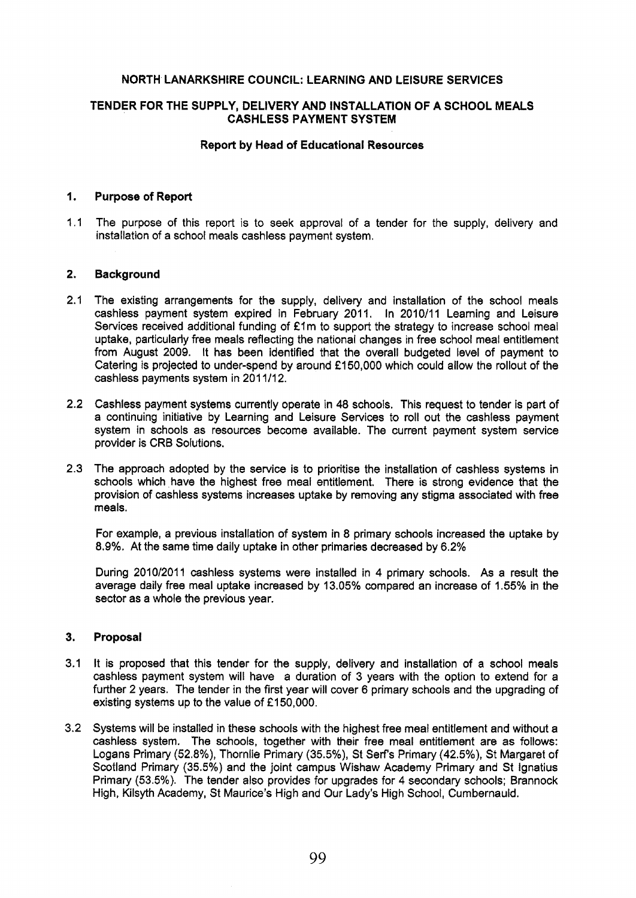# **NORTH LANARKSHIRE COUNCIL: LEARNING AND LEISURE SERVICES**

# **TENDER FOR THE SUPPLY, DELIVERY AND INSTALLATION OF A SCHOOL MEALS CASHLESS PAYMENT SYSTEM**

# **Report by Head of Educational Resources**

# I. **Purpose of Report**

1.1 The purpose of this report is to seek approval of **a** tender for the supply, delivery and installation of a school meals cashless payment system.

#### **2. Background**

- 2.1 The existing arrangements for the supply, delivery and installation of the school meals cashless payment system expired in February 2011. In 2010/11 Learning and Leisure Services received additional funding of £1m to support the strategy to increase school meal uptake, particularly free meals reflecting the national changes in free school meal entitlement from August 2009. It has been identified that the overall budgeted level of payment to Catering **is** projected to under-spend by around €1 50,000 which could allow the rollout of the cashless payments system in 201 1/12.
- **2.2** Cashless payment systems currently operate in **48** schools. This request to tender **is** part of a continuing initiative **by** Learning and Leisure Services *to* roll out the cashless payment system in schools as resources become available. The current payment system service provider is **CRB** Solutions.
- 2.3 The approach adopted by the service is to prioritise the installation of cashless systems in schools which have the highest free meal entitlement. There is strong evidence that the provision of **cashless** systems increases uptake by removing any stigma associated with free meals.

For example, a previous installation of system in *8* primary schools increased the uptake by **8.9%.** At the same time daily uptake in other primaries decreased by 6.2%

During 2010/2011 cashless systems were installed in **4** primary schools. As a result the average daily free meal uptake increased by 13.05% compared an increase of 1.55% in *the*  sector as a whole the previous **year.** 

# **3. Proposal**

- 3.1 It is proposed that this tender for the supply, delivery and installation of a school meals cashless payment system will have a duration **of** 3 years with the option to extend for a further 2 years. The tender in the first year will cover 6 primary schools and the upgrading of existing systems up to the value of €1 **50,000.**
- 3.2 Systems will be installed in these schools with the highest free meal entitlement and without **a**  cashless system. The schools, together with their free meal entitlement are as follows: Logans Primary **(52.8%),** Thornlie Primary (35.5%): **St** Serf's Primary **(42.5%),** St Margaret of Scotland Primary **(35.5%)** and the joint campus Wishaw Academy Primary and St tgnatius Primary (53.5%). The tender **also** provides for upgrades for **4** secondary schools; Brannock High, Kilsyth Academy, St Maurice's High and Our Lady's High School, Cumbernauld.